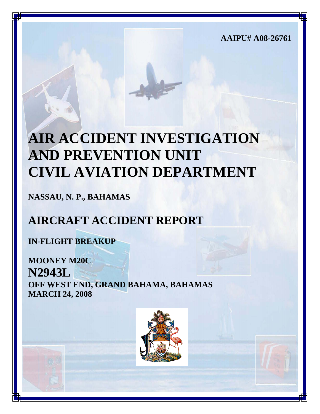**AAIPU# A08-26761**

# **AIR ACCIDENT INVESTIGATION AND PREVENTION UNIT CIVIL AVIATION DEPARTMENT**

**NASSAU, N. P., BAHAMAS**

# **AIRCRAFT ACCIDENT REPORT**

**IN-FLIGHT BREAKUP**

**MOONEY M20C N2943L OFF WEST END, GRAND BAHAMA, BAHAMAS MARCH 24, 2008**



**N2943L Accident Investigation Final Report April 26, 2010**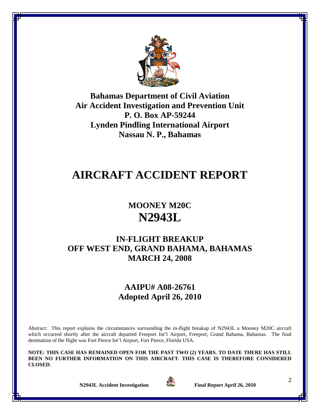

**Bahamas Department of Civil Aviation Air Accident Investigation and Prevention Unit P. O. Box AP-59244 Lynden Pindling International Airport Nassau N. P., Bahamas**

# **AIRCRAFT ACCIDENT REPORT**

# **MOONEY M20C N2943L**

# **IN-FLIGHT BREAKUP OFF WEST END, GRAND BAHAMA, BAHAMAS MARCH 24, 2008**

# **AAIPU# A08-26761 Adopted April 26, 2010**

Abstract: This report explains the circumstances surrounding the in-flight breakup of N2943L a Mooney M20C aircraft which occurred shortly after the aircraft departed Freeport Int'l Airport, Freeport, Grand Bahama, Bahamas. The final destination of the flight was Fort Pierce Int'l Airport, Fort Pierce, Florida USA.

**NOTE: THIS CASE HAS REMAINED OPEN FOR THE PAST TWO (2) YEARS. TO DATE THERE HAS STILL BEEN NO FURTHER INFORMATION ON THIS AIRCRAFT. THIS CASE IS THEREFORE CONSIDERED CLOSED.**



2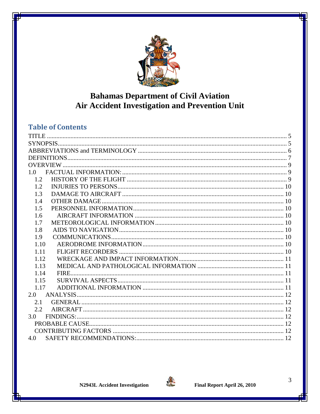

# **Bahamas Department of Civil Aviation Air Accident Investigation and Prevention Unit**

# **Table of Contents**

| 1.2<br>1.2<br>1.3<br>1.4<br>1.5<br>1.6<br>1.7<br>1.8<br>1.9<br>1.10<br>1.11<br>1.12<br>1.13<br>1.14<br>1.15<br>1.17<br>2.1<br>$2.2^{\circ}$<br>3.0<br>4.0 |  |
|-----------------------------------------------------------------------------------------------------------------------------------------------------------|--|
|                                                                                                                                                           |  |
|                                                                                                                                                           |  |
|                                                                                                                                                           |  |
|                                                                                                                                                           |  |
|                                                                                                                                                           |  |
|                                                                                                                                                           |  |
|                                                                                                                                                           |  |
|                                                                                                                                                           |  |
|                                                                                                                                                           |  |
|                                                                                                                                                           |  |
|                                                                                                                                                           |  |
|                                                                                                                                                           |  |
|                                                                                                                                                           |  |
|                                                                                                                                                           |  |
|                                                                                                                                                           |  |
|                                                                                                                                                           |  |
|                                                                                                                                                           |  |
|                                                                                                                                                           |  |
|                                                                                                                                                           |  |
|                                                                                                                                                           |  |
|                                                                                                                                                           |  |
|                                                                                                                                                           |  |
|                                                                                                                                                           |  |
|                                                                                                                                                           |  |
|                                                                                                                                                           |  |
|                                                                                                                                                           |  |
|                                                                                                                                                           |  |
|                                                                                                                                                           |  |

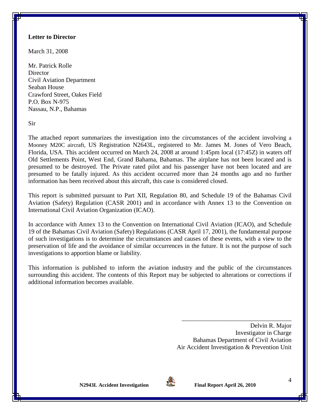#### **Letter to Director**

March 31, 2008

Mr. Patrick Rolle **Director** Civil Aviation Department Seaban House Crawford Street, Oakes Field P.O. Box N-975 Nassau, N.P., Bahamas

Sir

The attached report summarizes the investigation into the circumstances of the accident involving a Mooney M20C aircraft, US Registration N2643L, registered to Mr. James M. Jones of Vero Beach, Florida, USA. This accident occurred on March 24, 2008 at around 1:45pm local (17:45Z) in waters off Old Settlements Point, West End, Grand Bahama, Bahamas. The airplane has not been located and is presumed to be destroyed. The Private rated pilot and his passenger have not been located and are presumed to be fatally injured. As this accident occurred more than 24 months ago and no further information has been received about this aircraft, this case is considered closed.

This report is submitted pursuant to Part XII, Regulation 80, and Schedule 19 of the Bahamas Civil Aviation (Safety) Regulation (CASR 2001) and in accordance with Annex 13 to the Convention on International Civil Aviation Organization (ICAO).

In accordance with Annex 13 to the Convention on International Civil Aviation (ICAO), and Schedule 19 of the Bahamas Civil Aviation (Safety) Regulations (CASR April 17, 2001), the fundamental purpose of such investigations is to determine the circumstances and causes of these events, with a view to the preservation of life and the avoidance of similar occurrences in the future. It is not the purpose of such investigations to apportion blame or liability.

This information is published to inform the aviation industry and the public of the circumstances surrounding this accident. The contents of this Report may be subjected to alterations or corrections if additional information becomes available.

> Delvin R. Major Investigator in Charge Bahamas Department of Civil Aviation Air Accident Investigation & Prevention Unit

\_\_\_\_\_\_\_\_\_\_\_\_\_\_\_\_\_\_\_\_\_\_\_\_\_\_\_\_\_\_\_\_\_\_\_

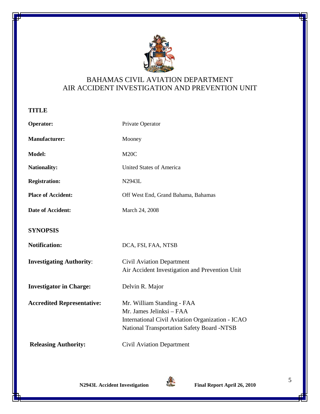

### BAHAMAS CIVIL AVIATION DEPARTMENT AIR ACCIDENT INVESTIGATION AND PREVENTION UNIT

<span id="page-4-0"></span>**TITLE**

<span id="page-4-1"></span>

| <b>Operator:</b>                  | Private Operator                                                                                                                                         |
|-----------------------------------|----------------------------------------------------------------------------------------------------------------------------------------------------------|
| <b>Manufacturer:</b>              | Mooney                                                                                                                                                   |
| <b>Model:</b>                     | M20C                                                                                                                                                     |
| <b>Nationality:</b>               | <b>United States of America</b>                                                                                                                          |
| <b>Registration:</b>              | N2943L                                                                                                                                                   |
| <b>Place of Accident:</b>         | Off West End, Grand Bahama, Bahamas                                                                                                                      |
| Date of Accident:                 | March 24, 2008                                                                                                                                           |
| <b>SYNOPSIS</b>                   |                                                                                                                                                          |
| <b>Notification:</b>              | DCA, FSI, FAA, NTSB                                                                                                                                      |
| <b>Investigating Authority:</b>   | <b>Civil Aviation Department</b><br>Air Accident Investigation and Prevention Unit                                                                       |
| <b>Investigator in Charge:</b>    | Delvin R. Major                                                                                                                                          |
| <b>Accredited Representative:</b> | Mr. William Standing - FAA<br>Mr. James Jelinksi - FAA<br>International Civil Aviation Organization - ICAO<br>National Transportation Safety Board -NTSB |
| <b>Releasing Authority:</b>       | <b>Civil Aviation Department</b>                                                                                                                         |

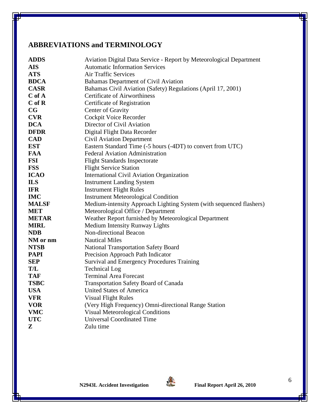## <span id="page-5-0"></span>**ABBREVIATIONS and TERMINOLOGY**

| <b>ADDS</b>            | Aviation Digital Data Service - Report by Meteorological Department |  |
|------------------------|---------------------------------------------------------------------|--|
| <b>AIS</b>             | <b>Automatic Information Services</b>                               |  |
| <b>ATS</b>             | <b>Air Traffic Services</b>                                         |  |
| <b>BDCA</b>            | Bahamas Department of Civil Aviation                                |  |
| <b>CASR</b>            | Bahamas Civil Aviation (Safety) Regulations (April 17, 2001)        |  |
| $C$ of $A$             | <b>Certificate of Airworthiness</b>                                 |  |
| $C$ of $R$             | Certificate of Registration                                         |  |
| $\mathbf{C}\mathbf{G}$ | Center of Gravity                                                   |  |
| <b>CVR</b>             | Cockpit Voice Recorder                                              |  |
| <b>DCA</b>             | Director of Civil Aviation                                          |  |
| <b>DFDR</b>            | Digital Flight Data Recorder                                        |  |
| <b>CAD</b>             | <b>Civil Aviation Department</b>                                    |  |
| <b>EST</b>             | Eastern Standard Time (-5 hours (-4DT) to convert from UTC)         |  |
| <b>FAA</b>             | <b>Federal Aviation Administration</b>                              |  |
| <b>FSI</b>             | <b>Flight Standards Inspectorate</b>                                |  |
| <b>FSS</b>             | <b>Flight Service Station</b>                                       |  |
| <b>ICAO</b>            | <b>International Civil Aviation Organization</b>                    |  |
| <b>ILS</b>             | <b>Instrument Landing System</b>                                    |  |
| <b>IFR</b>             | <b>Instrument Flight Rules</b>                                      |  |
| <b>IMC</b>             | <b>Instrument Meteorological Condition</b>                          |  |
| <b>MALSF</b>           | Medium-intensity Approach Lighting System (with sequenced flashers) |  |
| <b>MET</b>             | Meteorological Office / Department                                  |  |
| <b>METAR</b>           | Weather Report furnished by Meteorological Department               |  |
| <b>MIRL</b>            | <b>Medium Intensity Runway Lights</b>                               |  |
| <b>NDB</b>             | Non-directional Beacon                                              |  |
| NM or nm               | <b>Nautical Miles</b>                                               |  |
| <b>NTSB</b>            | National Transportation Safety Board                                |  |
| <b>PAPI</b>            | Precision Approach Path Indicator                                   |  |
| <b>SEP</b>             | Survival and Emergency Procedures Training                          |  |
| T/L                    | <b>Technical Log</b>                                                |  |
| <b>TAF</b>             | <b>Terminal Area Forecast</b>                                       |  |
| <b>TSBC</b>            | Transportation Safety Board of Canada                               |  |
| <b>USA</b>             | United States of America                                            |  |
| <b>VFR</b>             | <b>Visual Flight Rules</b>                                          |  |
| <b>VOR</b>             | (Very High Frequency) Omni-directional Range Station                |  |
| <b>VMC</b>             | <b>Visual Meteorological Conditions</b>                             |  |
| <b>UTC</b>             | <b>Universal Coordinated Time</b>                                   |  |
| Z                      | Zulu time                                                           |  |

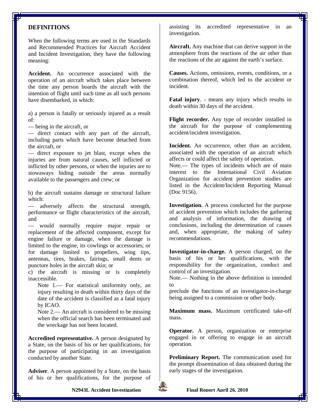#### <span id="page-6-0"></span>**DEFINITIONS**

When the following terms are used in the Standards and Recommended Practices for Aircraft Accident and Incident Investigation, they have the following meaning:

**Accident.** An occurrence associated with the operation of an aircraft which takes place between the time any person boards the aircraft with the intention of flight until such time as all such persons have disembarked, in which:

a) a person is fatally or seriously injured as a result of:

— being in the aircraft, or

— direct contact with any part of the aircraft, including parts which have become detached from the aircraft, or

— direct exposure to jet blast, except when the injuries are from natural causes, self inflicted or inflicted by other persons, or when the injuries are to stowaways hiding outside the areas normally available to the passengers and crew; or

b) the aircraft sustains damage or structural failure which:

— adversely affects the structural strength, performance or flight characteristics of the aircraft, and

— would normally require major repair or replacement of the affected component, except for engine failure or damage, when the damage is limited to the engine, its cowlings or accessories; or for damage limited to propellers, wing tips, antennas, tires, brakes, fairings, small dents or puncture holes in the aircraft skin; or

c) the aircraft is missing or is completely inaccessible.

Note 1.— For statistical uniformity only, an injury resulting in death within thirty days of the date of the accident is classified as a fatal injury by ICAO.

Note 2.— An aircraft is considered to be missing when the official search has been terminated and the wreckage has not been located.

**Accredited representative.** A person designated by a State, on the basis of his or her qualifications, for the purpose of participating in an investigation conducted by another State.

**Adviser**. A person appointed by a State, on the basis of his or her qualifications, for the purpose of

assisting its accredited representative in an investigation.

**Aircraft.** Any machine that can derive support in the atmosphere from the reactions of the air other than the reactions of the air against the earth's surface.

**Causes.** Actions, omissions, events, conditions, or a combination thereof, which led to the accident or incident.

**Fatal injury**. - means any injury which results in death within 30 days of the accident.

**Flight recorder.** Any type of recorder installed in the aircraft for the purpose of complementing accident/incident investigation.

Incident. An occurrence, other than an accident, associated with the operation of an aircraft which affects or could affect the safety of operation.

Note.— The types of incidents which are of main interest to the International Civil Aviation Organization for accident prevention studies are listed in the Accident/Incident Reporting Manual (Doc 9156).

**Investigation.** A process conducted for the purpose of accident prevention which includes the gathering and analysis of information, the drawing of conclusions, including the determination of causes and, when appropriate, the making of safety recommendations.

**Investigator-in-charge.** A person charged, on the basis of his or her qualifications, with the responsibility for the organization, conduct and control of an investigation.

Note.— Nothing in the above definition is intended to

preclude the functions of an investigator-in-charge being assigned to a commission or other body.

**Maximum mass.** Maximum certificated take-off mass.

**Operator.** A person, organization or enterprise engaged in or offering to engage in an aircraft operation.

**Preliminary Report.** The communication used for the prompt dissemination of data obtained during the early stages of the investigation.

**N2943L Accident Investigation Final Report April 26, 2010**

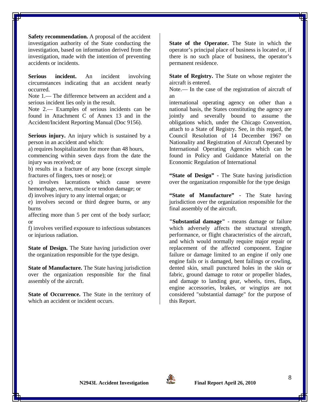**Safety recommendation.** A proposal of the accident investigation authority of the State conducting the investigation, based on information derived from the investigation, made with the intention of preventing accidents or incidents.

**Serious incident.** An incident involving circumstances indicating that an accident nearly occurred.

Note 1.— The difference between an accident and a serious incident lies only in the result.

Note 2.— Examples of serious incidents can be found in Attachment C of Annex 13 and in the Accident/Incident Reporting Manual (Doc 9156).

**Serious injury.** An injury which is sustained by a person in an accident and which:

a) requires hospitalization for more than 48 hours,

commencing within seven days from the date the injury was received; or

b) results in a fracture of any bone (except simple fractures of fingers, toes or nose); or

c) involves lacerations which cause severe hemorrhage, nerve, muscle or tendon damage; or d) involves injury to any internal organ; or

e) involves second or third degree burns, or any burns

affecting more than 5 per cent of the body surface; or

f) involves verified exposure to infectious substances or injurious radiation.

**State of Design.** The State having jurisdiction over the organization responsible for the type design.

**State of Manufacture.** The State having jurisdiction over the organization responsible for the final assembly of the aircraft.

**State of Occurrence.** The State in the territory of which an accident or incident occurs.

**State of the Operator.** The State in which the operator's principal place of business is located or, if there is no such place of business, the operator's permanent residence.

**State of Registry.** The State on whose register the aircraft is entered.

Note.— In the case of the registration of aircraft of an

international operating agency on other than a national basis, the States constituting the agency are jointly and severally bound to assume the obligations which, under the Chicago Convention, attach to a State of Registry. See, in this regard, the Council Resolution of 14 December 1967 on Nationality and Registration of Aircraft Operated by International Operating Agencies which can be found in Policy and Guidance Material on the Economic Regulation of International

**"State of Design"** - The State having jurisdiction over the organization responsible for the type design

**"State of Manufacture"** - The State having jurisdiction over the organization responsible for the final assembly of the aircraft.

**"Substantial damage"** - means damage or failure which adversely affects the structural strength, performance, or flight characteristics of the aircraft, and which would normally require major repair or replacement of the affected component. Engine failure or damage limited to an engine if only one engine fails or is damaged, bent failings or cowling, dented skin, small punctured holes in the skin or fabric, ground damage to rotor or propeller blades, and damage to landing gear, wheels, tires, flaps, engine accessories, brakes, or wingtips are not considered "substantial damage" for the purpose of this Report.

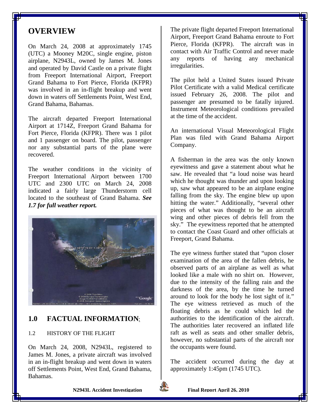### <span id="page-8-0"></span>**OVERVIEW**

On March 24, 2008 at approximately 1745 (UTC) a Mooney M20C, single engine, piston airplane, N2943L, owned by James M. Jones and operated by David Castle on a private flight from Freeport International Airport, Freeport Grand Bahama to Fort Pierce, Florida (KFPR) was involved in an in-flight breakup and went down in waters off Settlements Point, West End, Grand Bahama, Bahamas.

The aircraft departed Freeport International Airport at 1714Z, Freeport Grand Bahama for Fort Pierce, Florida (KFPR). There was 1 pilot and 1 passenger on board. The pilot, passenger nor any substantial parts of the plane were recovered.

The weather conditions in the vicinity of Freeport International Airport between 1700 UTC and 2300 UTC on March 24, 2008 indicated a fairly large Thunderstorm cell located to the southeast of Grand Bahama. *See 1.7 for full weather report.*



### <span id="page-8-1"></span>**1.0 FACTUAL INFORMATION**:

#### <span id="page-8-2"></span>1.2 HISTORY OF THE FLIGHT

On March 24, 2008, N2943L, registered to James M. Jones, a private aircraft was involved in an in-flight breakup and went down in waters off Settlements Point, West End, Grand Bahama, Bahamas.

The private flight departed Freeport International Airport, Freeport Grand Bahama enroute to Fort Pierce, Florida (KFPR). The aircraft was in contact with Air Traffic Control and never made any reports of having any mechanical irregularities.

The pilot held a United States issued Private Pilot Certificate with a valid Medical certificate issued February 26, 2008. The pilot and passenger are presumed to be fatally injured. Instrument Meteorological conditions prevailed at the time of the accident.

An international Visual Meteorological Flight Plan was filed with Grand Bahama Airport Company.

A fisherman in the area was the only known eyewitness and gave a statement about what he saw. He revealed that "a loud noise was heard which he thought was thunder and upon looking up, saw what appeared to be an airplane engine falling from the sky. The engine blew up upon hitting the water." Additionally, "several other pieces of what was thought to be an aircraft wing and other pieces of debris fell from the sky." The eyewitness reported that he attempted to contact the Coast Guard and other officials at Freeport, Grand Bahama.

The eye witness further stated that "upon closer examination of the area of the fallen debris, he observed parts of an airplane as well as what looked like a male with no shirt on. However, due to the intensity of the falling rain and the darkness of the area, by the time he turned around to look for the body he lost sight of it." The eye witness retrieved as much of the floating debris as he could which led the authorities to the identification of the aircraft. The authorities later recovered an inflated life raft as well as seats and other smaller debris, however, no substantial parts of the aircraft nor the occupants were found.

The accident occurred during the day at approximately 1:45pm (1745 UTC).

**N2943L Accident Investigation Final Report April 26, 2010**

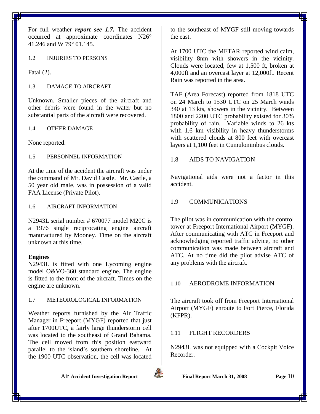For full weather *report see 1.7.* The accident occurred at approximate coordinates N26° 41.246 and W 79° 01.145.

<span id="page-9-0"></span>1.2 INJURIES TO PERSONS

Fatal (2).

<span id="page-9-1"></span>1.3 DAMAGE TO AIRCRAFT

Unknown. Smaller pieces of the aircraft and other debris were found in the water but no substantial parts of the aircraft were recovered.

<span id="page-9-2"></span>1.4 OTHER DAMAGE

None reported.

<span id="page-9-3"></span>1.5 PERSONNEL INFORMATION

At the time of the accident the aircraft was under the command of Mr. David Castle. Mr. Castle, a 50 year old male, was in possession of a valid FAA License (Private Pilot).

<span id="page-9-4"></span>1.6 AIRCRAFT INFORMATION

N2943L serial number # 670077 model M20C is a 1976 single reciprocating engine aircraft manufactured by Mooney. Time on the aircraft unknown at this time.

#### **Engines**

N2943L is fitted with one Lycoming engine model O&VO-360 standard engine. The engine is fitted to the front of the aircraft. Times on the engine are unknown.

#### <span id="page-9-5"></span>1.7 METEOROLOGICAL INFORMATION

Weather reports furnished by the Air Traffic Manager in Freeport (MYGF) reported that just after 1700UTC, a fairly large thunderstorm cell was located to the southeast of Grand Bahama. The cell moved from this position eastward parallel to the island's southern shoreline. At the 1900 UTC observation, the cell was located

Air **Accident Investigation Report Final Report March 31, 2008 Page** 10



to the southeast of MYGF still moving towards the east.

At 1700 UTC the METAR reported wind calm, visibility 8nm with showers in the vicinity. Clouds were located, few at 1,500 ft, broken at 4,000ft and an overcast layer at 12,000ft. Recent Rain was reported in the area.

TAF (Area Forecast) reported from 1818 UTC on 24 March to 1530 UTC on 25 March winds 340 at 13 kts, showers in the vicinity. Between 1800 and 2200 UTC probability existed for 30% probability of rain. Variable winds to 26 kts with 1.6 km visibility in heavy thunderstorms with scattered clouds at 800 feet with overcast layers at 1,100 feet in Cumulonimbus clouds.

#### <span id="page-9-6"></span>1.8 AIDS TO NAVIGATION

Navigational aids were not a factor in this accident.

#### <span id="page-9-7"></span>1.9 COMMUNICATIONS

The pilot was in communication with the control tower at Freeport International Airport (MYGF). After communicating with ATC in Freeport and acknowledging reported traffic advice, no other communication was made between aircraft and ATC. At no time did the pilot advise ATC of any problems with the aircraft.

#### <span id="page-9-8"></span>1.10 AERODROME INFORMATION

The aircraft took off from Freeport International Airport (MYGF) enroute to Fort Pierce, Florida (KFPR).

#### <span id="page-9-9"></span>1.11 FLIGHT RECORDERS

N2943L was not equipped with a Cockpit Voice Recorder.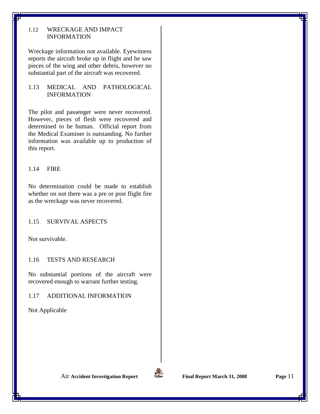#### <span id="page-10-0"></span>1.12 WRECKAGE AND IMPACT INFORMATION

Wreckage information not available. Eyewitness reports the aircraft broke up in flight and he saw pieces of the wing and other debris, however no substantial part of the aircraft was recovered.

#### <span id="page-10-1"></span>1.13 MEDICAL AND PATHOLOGICAL INFORMATION

The pilot and passenger were never recovered. However, pieces of flesh were recovered and determined to be human. Official report from the Medical Examiner is outstanding. No further information was available up to production of this report.

#### <span id="page-10-2"></span>1.14 FIRE

No determination could be made to establish whether on not there was a pre or post flight fire as the wreckage was never recovered.

#### <span id="page-10-3"></span>1.15 SURVIVAL ASPECTS

Not survivable.

#### 1.16 TESTS AND RESEARCH

No substantial portions of the aircraft were recovered enough to warrant further testing.

#### <span id="page-10-4"></span>1.17 ADDITIONAL INFORMATION

Not Applicable